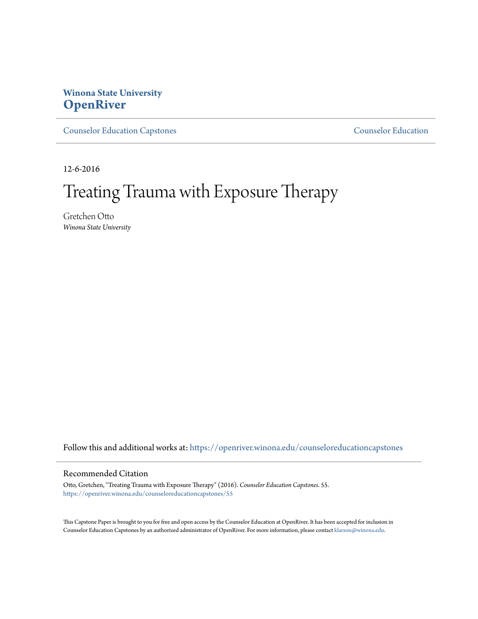# **Winona State University [OpenRiver](https://openriver.winona.edu?utm_source=openriver.winona.edu%2Fcounseloreducationcapstones%2F55&utm_medium=PDF&utm_campaign=PDFCoverPages)**

[Counselor Education Capstones](https://openriver.winona.edu/counseloreducationcapstones?utm_source=openriver.winona.edu%2Fcounseloreducationcapstones%2F55&utm_medium=PDF&utm_campaign=PDFCoverPages) [Counselor Education](https://openriver.winona.edu/counseloreducation?utm_source=openriver.winona.edu%2Fcounseloreducationcapstones%2F55&utm_medium=PDF&utm_campaign=PDFCoverPages)

12-6-2016

# Treating Trauma with Exposure Therapy

Gretchen Otto *Winona State University*

Follow this and additional works at: [https://openriver.winona.edu/counseloreducationcapstones](https://openriver.winona.edu/counseloreducationcapstones?utm_source=openriver.winona.edu%2Fcounseloreducationcapstones%2F55&utm_medium=PDF&utm_campaign=PDFCoverPages)

# Recommended Citation

Otto, Gretchen, "Treating Trauma with Exposure Therapy" (2016). *Counselor Education Capstones*. 55. [https://openriver.winona.edu/counseloreducationcapstones/55](https://openriver.winona.edu/counseloreducationcapstones/55?utm_source=openriver.winona.edu%2Fcounseloreducationcapstones%2F55&utm_medium=PDF&utm_campaign=PDFCoverPages)

This Capstone Paper is brought to you for free and open access by the Counselor Education at OpenRiver. It has been accepted for inclusion in Counselor Education Capstones by an authorized administrator of OpenRiver. For more information, please contact [klarson@winona.edu](mailto:klarson@winona.edu).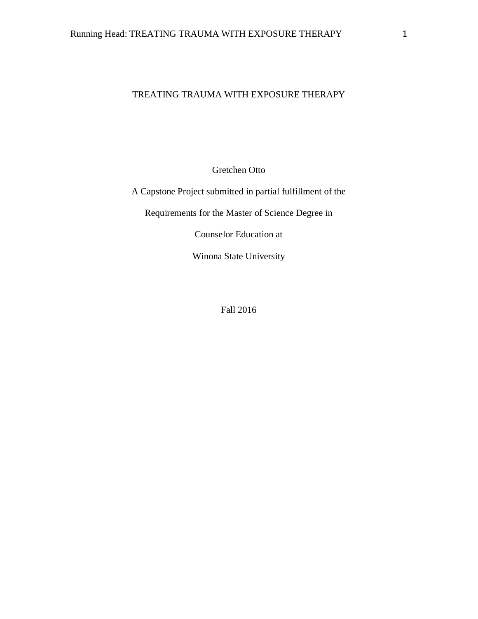# TREATING TRAUMA WITH EXPOSURE THERAPY

Gretchen Otto

A Capstone Project submitted in partial fulfillment of the

Requirements for the Master of Science Degree in

Counselor Education at

Winona State University

Fall 2016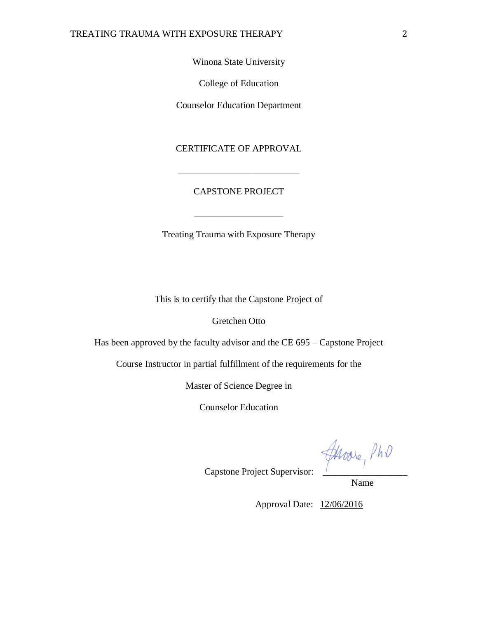Winona State University

College of Education

Counselor Education Department

CERTIFICATE OF APPROVAL

# CAPSTONE PROJECT

\_\_\_\_\_\_\_\_\_\_\_\_\_\_\_\_\_\_\_

\_\_\_\_\_\_\_\_\_\_\_\_\_\_\_\_\_\_\_\_\_\_\_\_\_\_

Treating Trauma with Exposure Therapy

This is to certify that the Capstone Project of

Gretchen Otto

Has been approved by the faculty advisor and the CE 695 – Capstone Project

Course Instructor in partial fulfillment of the requirements for the

Master of Science Degree in

Counselor Education

Capstone Project Supervisor: \_\_\_\_\_\_\_\_\_\_\_\_\_\_\_\_\_\_

Name

Approval Date: 12/06/2016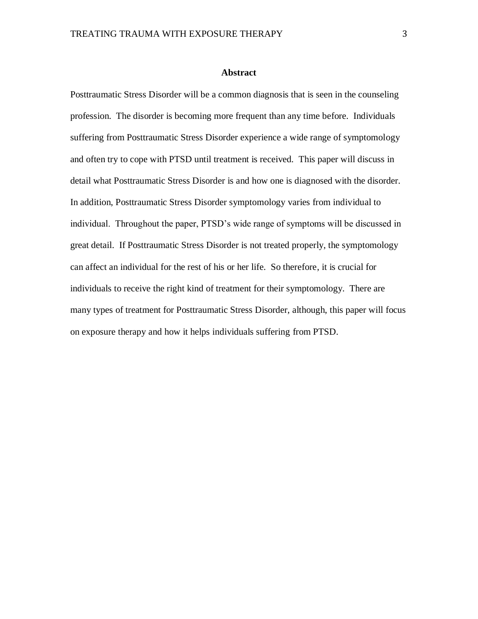#### **Abstract**

Posttraumatic Stress Disorder will be a common diagnosis that is seen in the counseling profession. The disorder is becoming more frequent than any time before. Individuals suffering from Posttraumatic Stress Disorder experience a wide range of symptomology and often try to cope with PTSD until treatment is received. This paper will discuss in detail what Posttraumatic Stress Disorder is and how one is diagnosed with the disorder. In addition, Posttraumatic Stress Disorder symptomology varies from individual to individual. Throughout the paper, PTSD's wide range of symptoms will be discussed in great detail. If Posttraumatic Stress Disorder is not treated properly, the symptomology can affect an individual for the rest of his or her life. So therefore, it is crucial for individuals to receive the right kind of treatment for their symptomology. There are many types of treatment for Posttraumatic Stress Disorder, although, this paper will focus on exposure therapy and how it helps individuals suffering from PTSD.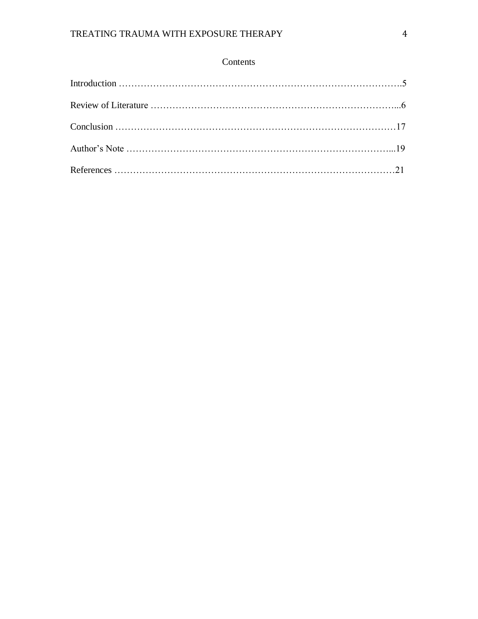# Contents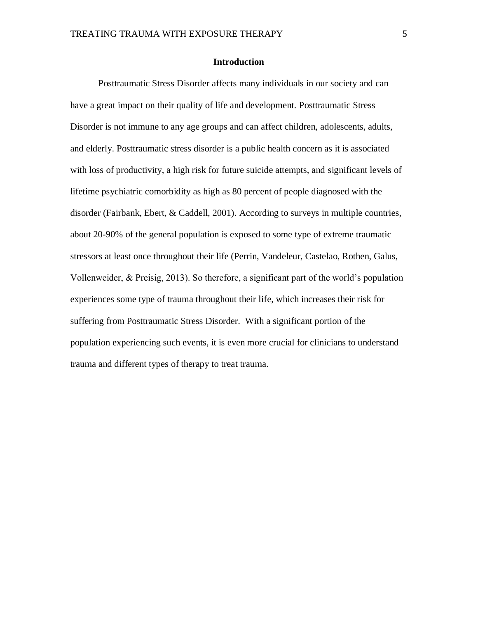# **Introduction**

Posttraumatic Stress Disorder affects many individuals in our society and can have a great impact on their quality of life and development. Posttraumatic Stress Disorder is not immune to any age groups and can affect children, adolescents, adults, and elderly. Posttraumatic stress disorder is a public health concern as it is associated with loss of productivity, a high risk for future suicide attempts, and significant levels of lifetime psychiatric comorbidity as high as 80 percent of people diagnosed with the disorder (Fairbank, Ebert, & Caddell, 2001). According to surveys in multiple countries, about 20-90% of the general population is exposed to some type of extreme traumatic stressors at least once throughout their life (Perrin, Vandeleur, Castelao, Rothen, Galus, Vollenweider, & Preisig, 2013). So therefore, a significant part of the world's population experiences some type of trauma throughout their life, which increases their risk for suffering from Posttraumatic Stress Disorder. With a significant portion of the population experiencing such events, it is even more crucial for clinicians to understand trauma and different types of therapy to treat trauma.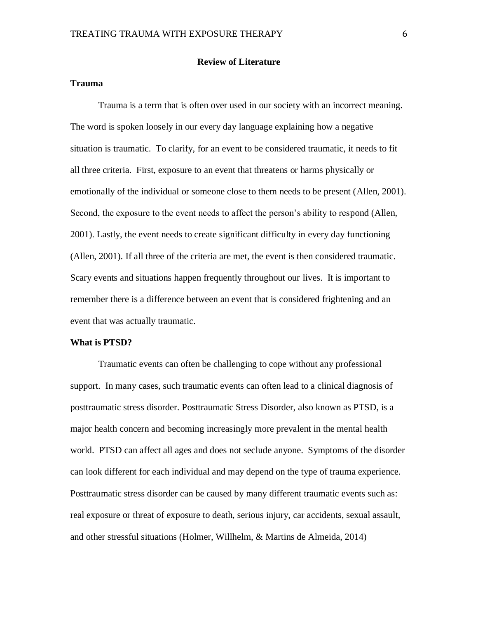# **Review of Literature**

# **Trauma**

Trauma is a term that is often over used in our society with an incorrect meaning. The word is spoken loosely in our every day language explaining how a negative situation is traumatic. To clarify, for an event to be considered traumatic, it needs to fit all three criteria. First, exposure to an event that threatens or harms physically or emotionally of the individual or someone close to them needs to be present (Allen, 2001). Second, the exposure to the event needs to affect the person's ability to respond (Allen, 2001). Lastly, the event needs to create significant difficulty in every day functioning (Allen, 2001). If all three of the criteria are met, the event is then considered traumatic. Scary events and situations happen frequently throughout our lives. It is important to remember there is a difference between an event that is considered frightening and an event that was actually traumatic.

#### **What is PTSD?**

Traumatic events can often be challenging to cope without any professional support. In many cases, such traumatic events can often lead to a clinical diagnosis of posttraumatic stress disorder. Posttraumatic Stress Disorder, also known as PTSD, is a major health concern and becoming increasingly more prevalent in the mental health world. PTSD can affect all ages and does not seclude anyone. Symptoms of the disorder can look different for each individual and may depend on the type of trauma experience. Posttraumatic stress disorder can be caused by many different traumatic events such as: real exposure or threat of exposure to death, serious injury, car accidents, sexual assault, and other stressful situations (Holmer, Willhelm, & Martins de Almeida, 2014)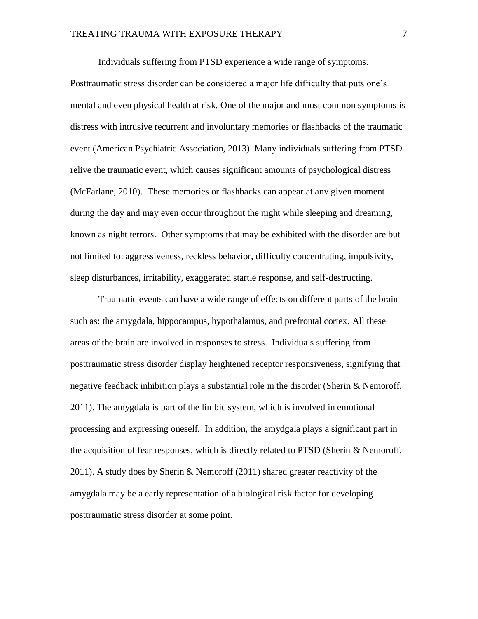Individuals suffering from PTSD experience a wide range of symptoms.

Posttraumatic stress disorder can be considered a major life difficulty that puts one's mental and even physical health at risk. One of the major and most common symptoms is distress with intrusive recurrent and involuntary memories or flashbacks of the traumatic event (American Psychiatric Association, 2013). Many individuals suffering from PTSD relive the traumatic event, which causes significant amounts of psychological distress (McFarlane, 2010). These memories or flashbacks can appear at any given moment during the day and may even occur throughout the night while sleeping and dreaming, known as night terrors. Other symptoms that may be exhibited with the disorder are but not limited to: aggressiveness, reckless behavior, difficulty concentrating, impulsivity, sleep disturbances, irritability, exaggerated startle response, and self-destructing.

Traumatic events can have a wide range of effects on different parts of the brain such as: the amygdala, hippocampus, hypothalamus, and prefrontal cortex. All these areas of the brain are involved in responses to stress. Individuals suffering from posttraumatic stress disorder display heightened receptor responsiveness, signifying that negative feedback inhibition plays a substantial role in the disorder (Sherin & Nemoroff, 2011). The amygdala is part of the limbic system, which is involved in emotional processing and expressing oneself. In addition, the amydgala plays a significant part in the acquisition of fear responses, which is directly related to PTSD (Sherin & Nemoroff, 2011). A study does by Sherin & Nemoroff (2011) shared greater reactivity of the amygdala may be a early representation of a biological risk factor for developing posttraumatic stress disorder at some point.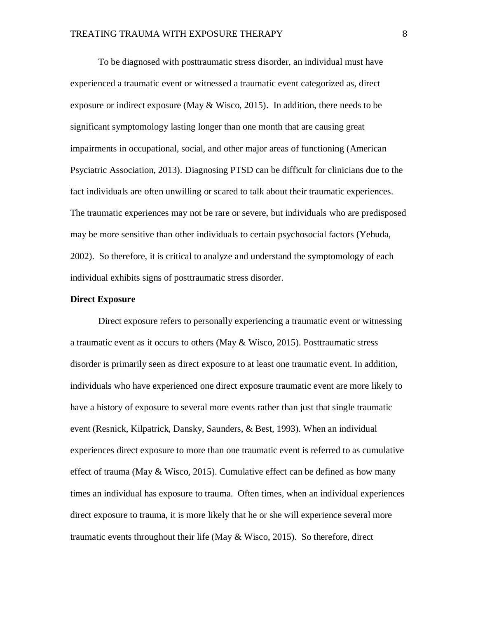To be diagnosed with posttraumatic stress disorder, an individual must have experienced a traumatic event or witnessed a traumatic event categorized as, direct exposure or indirect exposure (May  $&$  Wisco, 2015). In addition, there needs to be significant symptomology lasting longer than one month that are causing great impairments in occupational, social, and other major areas of functioning (American Psyciatric Association, 2013). Diagnosing PTSD can be difficult for clinicians due to the fact individuals are often unwilling or scared to talk about their traumatic experiences. The traumatic experiences may not be rare or severe, but individuals who are predisposed may be more sensitive than other individuals to certain psychosocial factors (Yehuda, 2002). So therefore, it is critical to analyze and understand the symptomology of each individual exhibits signs of posttraumatic stress disorder.

# **Direct Exposure**

Direct exposure refers to personally experiencing a traumatic event or witnessing a traumatic event as it occurs to others (May & Wisco, 2015). Posttraumatic stress disorder is primarily seen as direct exposure to at least one traumatic event. In addition, individuals who have experienced one direct exposure traumatic event are more likely to have a history of exposure to several more events rather than just that single traumatic event (Resnick, Kilpatrick, Dansky, Saunders, & Best, 1993). When an individual experiences direct exposure to more than one traumatic event is referred to as cumulative effect of trauma (May & Wisco, 2015). Cumulative effect can be defined as how many times an individual has exposure to trauma. Often times, when an individual experiences direct exposure to trauma, it is more likely that he or she will experience several more traumatic events throughout their life (May  $&$  Wisco, 2015). So therefore, direct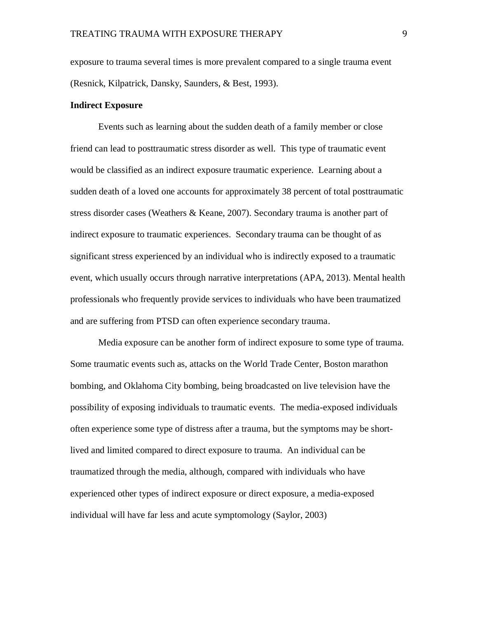exposure to trauma several times is more prevalent compared to a single trauma event (Resnick, Kilpatrick, Dansky, Saunders, & Best, 1993).

#### **Indirect Exposure**

Events such as learning about the sudden death of a family member or close friend can lead to posttraumatic stress disorder as well. This type of traumatic event would be classified as an indirect exposure traumatic experience. Learning about a sudden death of a loved one accounts for approximately 38 percent of total posttraumatic stress disorder cases (Weathers & Keane, 2007). Secondary trauma is another part of indirect exposure to traumatic experiences. Secondary trauma can be thought of as significant stress experienced by an individual who is indirectly exposed to a traumatic event, which usually occurs through narrative interpretations (APA, 2013). Mental health professionals who frequently provide services to individuals who have been traumatized and are suffering from PTSD can often experience secondary trauma.

Media exposure can be another form of indirect exposure to some type of trauma. Some traumatic events such as, attacks on the World Trade Center, Boston marathon bombing, and Oklahoma City bombing, being broadcasted on live television have the possibility of exposing individuals to traumatic events. The media-exposed individuals often experience some type of distress after a trauma, but the symptoms may be shortlived and limited compared to direct exposure to trauma. An individual can be traumatized through the media, although, compared with individuals who have experienced other types of indirect exposure or direct exposure, a media-exposed individual will have far less and acute symptomology (Saylor, 2003)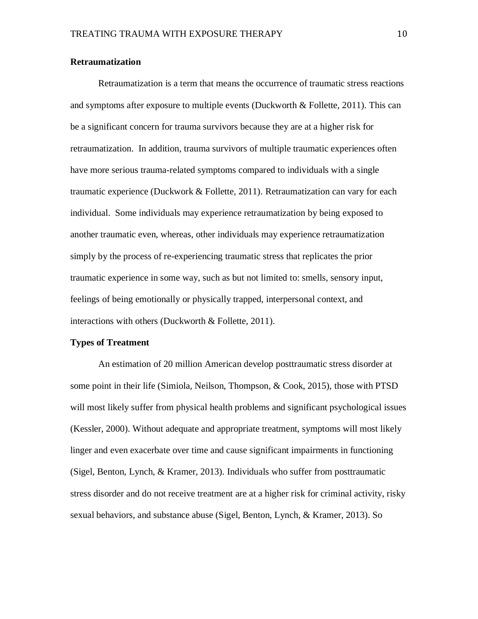# **Retraumatization**

Retraumatization is a term that means the occurrence of traumatic stress reactions and symptoms after exposure to multiple events (Duckworth & Follette, 2011). This can be a significant concern for trauma survivors because they are at a higher risk for retraumatization. In addition, trauma survivors of multiple traumatic experiences often have more serious trauma-related symptoms compared to individuals with a single traumatic experience (Duckwork & Follette, 2011). Retraumatization can vary for each individual. Some individuals may experience retraumatization by being exposed to another traumatic even, whereas, other individuals may experience retraumatization simply by the process of re-experiencing traumatic stress that replicates the prior traumatic experience in some way, such as but not limited to: smells, sensory input, feelings of being emotionally or physically trapped, interpersonal context, and interactions with others (Duckworth & Follette, 2011).

#### **Types of Treatment**

An estimation of 20 million American develop posttraumatic stress disorder at some point in their life (Simiola, Neilson, Thompson, & Cook, 2015), those with PTSD will most likely suffer from physical health problems and significant psychological issues (Kessler, 2000). Without adequate and appropriate treatment, symptoms will most likely linger and even exacerbate over time and cause significant impairments in functioning (Sigel, Benton, Lynch, & Kramer, 2013). Individuals who suffer from posttraumatic stress disorder and do not receive treatment are at a higher risk for criminal activity, risky sexual behaviors, and substance abuse (Sigel, Benton, Lynch, & Kramer, 2013). So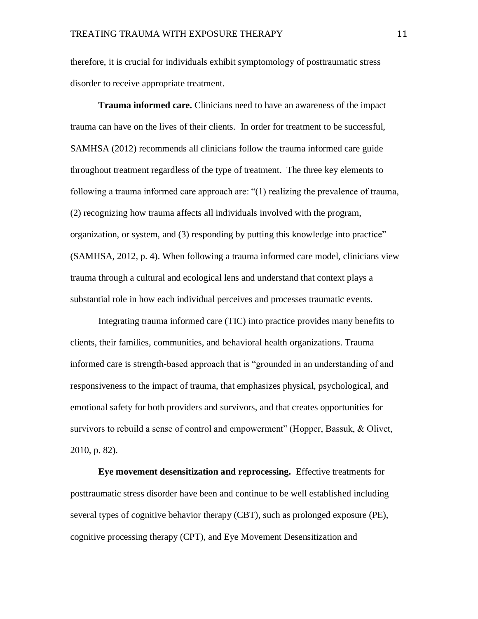therefore, it is crucial for individuals exhibit symptomology of posttraumatic stress disorder to receive appropriate treatment.

**Trauma informed care.** Clinicians need to have an awareness of the impact trauma can have on the lives of their clients. In order for treatment to be successful, SAMHSA (2012) recommends all clinicians follow the trauma informed care guide throughout treatment regardless of the type of treatment. The three key elements to following a trauma informed care approach are: "(1) realizing the prevalence of trauma, (2) recognizing how trauma affects all individuals involved with the program, organization, or system, and (3) responding by putting this knowledge into practice" (SAMHSA, 2012, p. 4). When following a trauma informed care model, clinicians view trauma through a cultural and ecological lens and understand that context plays a substantial role in how each individual perceives and processes traumatic events.

Integrating trauma informed care (TIC) into practice provides many benefits to clients, their families, communities, and behavioral health organizations. Trauma informed care is strength-based approach that is "grounded in an understanding of and responsiveness to the impact of trauma, that emphasizes physical, psychological, and emotional safety for both providers and survivors, and that creates opportunities for survivors to rebuild a sense of control and empowerment" (Hopper, Bassuk, & Olivet, 2010, p. 82).

**Eye movement desensitization and reprocessing.** Effective treatments for posttraumatic stress disorder have been and continue to be well established including several types of cognitive behavior therapy (CBT), such as prolonged exposure (PE), cognitive processing therapy (CPT), and Eye Movement Desensitization and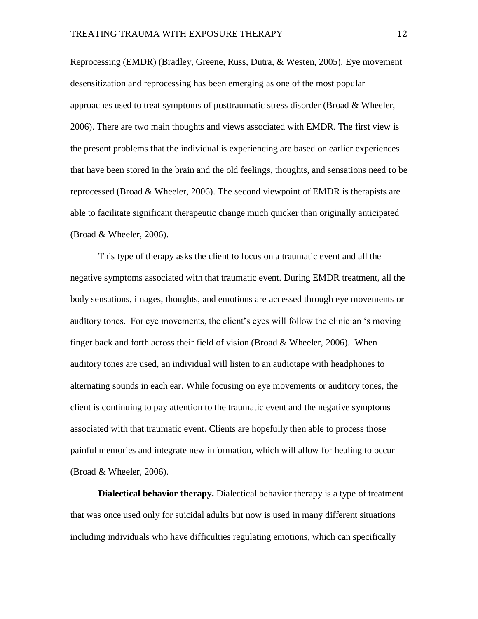Reprocessing (EMDR) (Bradley, Greene, Russ, Dutra, & Westen, 2005). Eye movement desensitization and reprocessing has been emerging as one of the most popular approaches used to treat symptoms of posttraumatic stress disorder (Broad  $\&$  Wheeler, 2006). There are two main thoughts and views associated with EMDR. The first view is the present problems that the individual is experiencing are based on earlier experiences that have been stored in the brain and the old feelings, thoughts, and sensations need to be reprocessed (Broad  $\&$  Wheeler, 2006). The second viewpoint of EMDR is therapists are able to facilitate significant therapeutic change much quicker than originally anticipated (Broad & Wheeler, 2006).

This type of therapy asks the client to focus on a traumatic event and all the negative symptoms associated with that traumatic event. During EMDR treatment, all the body sensations, images, thoughts, and emotions are accessed through eye movements or auditory tones. For eye movements, the client's eyes will follow the clinician 's moving finger back and forth across their field of vision (Broad & Wheeler, 2006). When auditory tones are used, an individual will listen to an audiotape with headphones to alternating sounds in each ear. While focusing on eye movements or auditory tones, the client is continuing to pay attention to the traumatic event and the negative symptoms associated with that traumatic event. Clients are hopefully then able to process those painful memories and integrate new information, which will allow for healing to occur (Broad & Wheeler, 2006).

**Dialectical behavior therapy.** Dialectical behavior therapy is a type of treatment that was once used only for suicidal adults but now is used in many different situations including individuals who have difficulties regulating emotions, which can specifically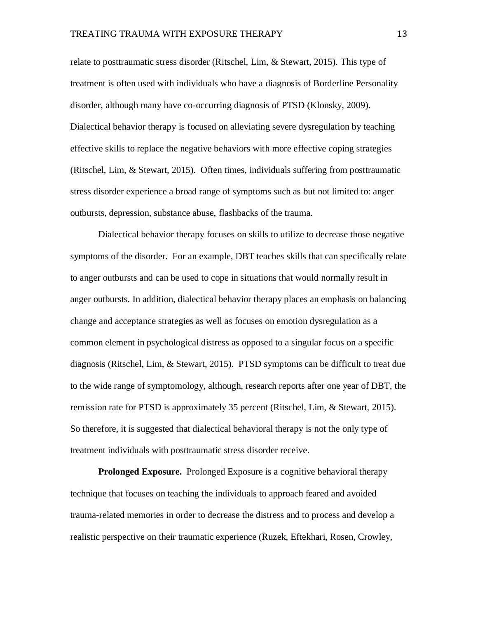relate to posttraumatic stress disorder (Ritschel, Lim, & Stewart, 2015). This type of treatment is often used with individuals who have a diagnosis of Borderline Personality disorder, although many have co-occurring diagnosis of PTSD (Klonsky, 2009). Dialectical behavior therapy is focused on alleviating severe dysregulation by teaching effective skills to replace the negative behaviors with more effective coping strategies (Ritschel, Lim, & Stewart, 2015). Often times, individuals suffering from posttraumatic stress disorder experience a broad range of symptoms such as but not limited to: anger outbursts, depression, substance abuse, flashbacks of the trauma.

Dialectical behavior therapy focuses on skills to utilize to decrease those negative symptoms of the disorder. For an example, DBT teaches skills that can specifically relate to anger outbursts and can be used to cope in situations that would normally result in anger outbursts. In addition, dialectical behavior therapy places an emphasis on balancing change and acceptance strategies as well as focuses on emotion dysregulation as a common element in psychological distress as opposed to a singular focus on a specific diagnosis (Ritschel, Lim, & Stewart, 2015). PTSD symptoms can be difficult to treat due to the wide range of symptomology, although, research reports after one year of DBT, the remission rate for PTSD is approximately 35 percent (Ritschel, Lim, & Stewart, 2015). So therefore, it is suggested that dialectical behavioral therapy is not the only type of treatment individuals with posttraumatic stress disorder receive.

**Prolonged Exposure.** Prolonged Exposure is a cognitive behavioral therapy technique that focuses on teaching the individuals to approach feared and avoided trauma-related memories in order to decrease the distress and to process and develop a realistic perspective on their traumatic experience (Ruzek, Eftekhari, Rosen, Crowley,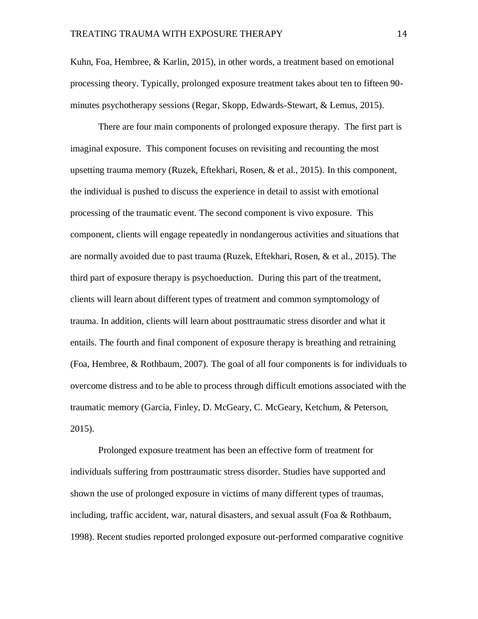Kuhn, Foa, Hembree, & Karlin, 2015), in other words, a treatment based on emotional processing theory. Typically, prolonged exposure treatment takes about ten to fifteen 90 minutes psychotherapy sessions (Regar, Skopp, Edwards-Stewart, & Lemus, 2015).

There are four main components of prolonged exposure therapy. The first part is imaginal exposure. This component focuses on revisiting and recounting the most upsetting trauma memory (Ruzek, Eftekhari, Rosen, & et al., 2015). In this component, the individual is pushed to discuss the experience in detail to assist with emotional processing of the traumatic event. The second component is vivo exposure. This component, clients will engage repeatedly in nondangerous activities and situations that are normally avoided due to past trauma (Ruzek, Eftekhari, Rosen, & et al., 2015). The third part of exposure therapy is psychoeduction. During this part of the treatment, clients will learn about different types of treatment and common symptomology of trauma. In addition, clients will learn about posttraumatic stress disorder and what it entails. The fourth and final component of exposure therapy is breathing and retraining (Foa, Hembree, & Rothbaum, 2007). The goal of all four components is for individuals to overcome distress and to be able to process through difficult emotions associated with the traumatic memory (Garcia, Finley, D. McGeary, C. McGeary, Ketchum, & Peterson, 2015).

Prolonged exposure treatment has been an effective form of treatment for individuals suffering from posttraumatic stress disorder. Studies have supported and shown the use of prolonged exposure in victims of many different types of traumas, including, traffic accident, war, natural disasters, and sexual assult (Foa & Rothbaum, 1998). Recent studies reported prolonged exposure out-performed comparative cognitive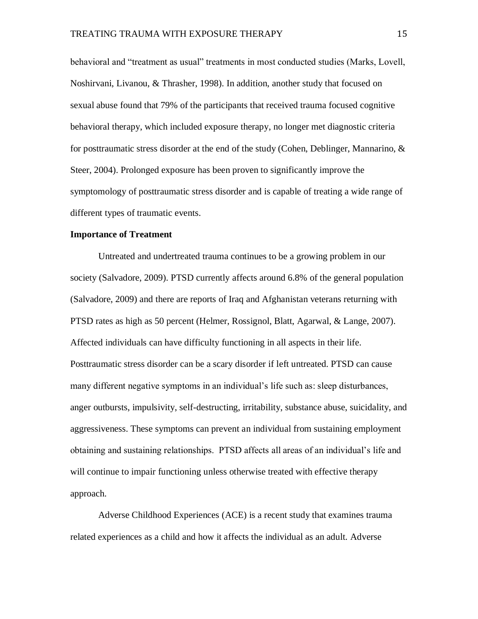behavioral and "treatment as usual" treatments in most conducted studies (Marks, Lovell, Noshirvani, Livanou, & Thrasher, 1998). In addition, another study that focused on sexual abuse found that 79% of the participants that received trauma focused cognitive behavioral therapy, which included exposure therapy, no longer met diagnostic criteria for posttraumatic stress disorder at the end of the study (Cohen, Deblinger, Mannarino, & Steer, 2004). Prolonged exposure has been proven to significantly improve the symptomology of posttraumatic stress disorder and is capable of treating a wide range of different types of traumatic events.

# **Importance of Treatment**

Untreated and undertreated trauma continues to be a growing problem in our society (Salvadore, 2009). PTSD currently affects around 6.8% of the general population (Salvadore, 2009) and there are reports of Iraq and Afghanistan veterans returning with PTSD rates as high as 50 percent (Helmer, Rossignol, Blatt, Agarwal, & Lange, 2007). Affected individuals can have difficulty functioning in all aspects in their life. Posttraumatic stress disorder can be a scary disorder if left untreated. PTSD can cause many different negative symptoms in an individual's life such as: sleep disturbances, anger outbursts, impulsivity, self-destructing, irritability, substance abuse, suicidality, and aggressiveness. These symptoms can prevent an individual from sustaining employment obtaining and sustaining relationships. PTSD affects all areas of an individual's life and will continue to impair functioning unless otherwise treated with effective therapy approach.

Adverse Childhood Experiences (ACE) is a recent study that examines trauma related experiences as a child and how it affects the individual as an adult. Adverse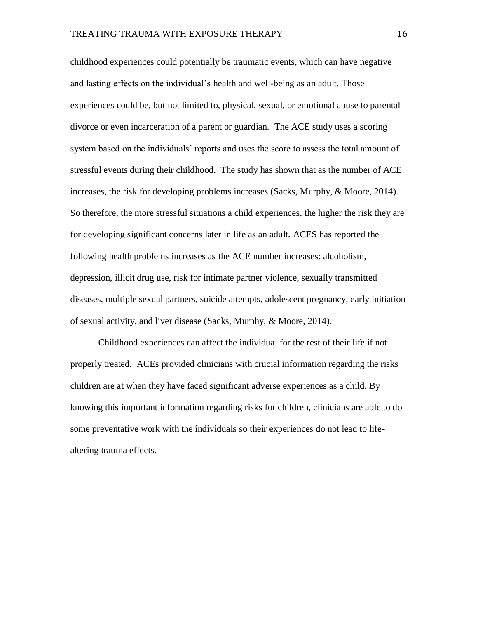childhood experiences could potentially be traumatic events, which can have negative and lasting effects on the individual's health and well-being as an adult. Those experiences could be, but not limited to, physical, sexual, or emotional abuse to parental divorce or even incarceration of a parent or guardian. The ACE study uses a scoring system based on the individuals' reports and uses the score to assess the total amount of stressful events during their childhood. The study has shown that as the number of ACE increases, the risk for developing problems increases (Sacks, Murphy, & Moore, 2014). So therefore, the more stressful situations a child experiences, the higher the risk they are for developing significant concerns later in life as an adult. ACES has reported the following health problems increases as the ACE number increases: alcoholism, depression, illicit drug use, risk for intimate partner violence, sexually transmitted diseases, multiple sexual partners, suicide attempts, adolescent pregnancy, early initiation of sexual activity, and liver disease (Sacks, Murphy, & Moore, 2014).

Childhood experiences can affect the individual for the rest of their life if not properly treated. ACEs provided clinicians with crucial information regarding the risks children are at when they have faced significant adverse experiences as a child. By knowing this important information regarding risks for children, clinicians are able to do some preventative work with the individuals so their experiences do not lead to lifealtering trauma effects.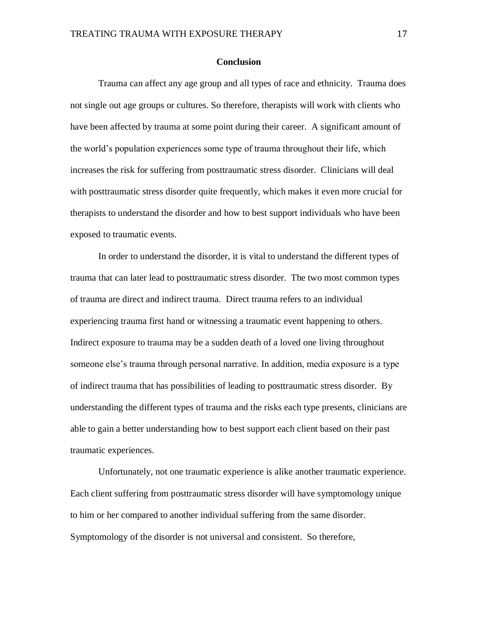# **Conclusion**

Trauma can affect any age group and all types of race and ethnicity. Trauma does not single out age groups or cultures. So therefore, therapists will work with clients who have been affected by trauma at some point during their career. A significant amount of the world's population experiences some type of trauma throughout their life, which increases the risk for suffering from posttraumatic stress disorder. Clinicians will deal with posttraumatic stress disorder quite frequently, which makes it even more crucial for therapists to understand the disorder and how to best support individuals who have been exposed to traumatic events.

In order to understand the disorder, it is vital to understand the different types of trauma that can later lead to posttraumatic stress disorder. The two most common types of trauma are direct and indirect trauma. Direct trauma refers to an individual experiencing trauma first hand or witnessing a traumatic event happening to others. Indirect exposure to trauma may be a sudden death of a loved one living throughout someone else's trauma through personal narrative. In addition, media exposure is a type of indirect trauma that has possibilities of leading to posttraumatic stress disorder. By understanding the different types of trauma and the risks each type presents, clinicians are able to gain a better understanding how to best support each client based on their past traumatic experiences.

Unfortunately, not one traumatic experience is alike another traumatic experience. Each client suffering from posttraumatic stress disorder will have symptomology unique to him or her compared to another individual suffering from the same disorder. Symptomology of the disorder is not universal and consistent. So therefore,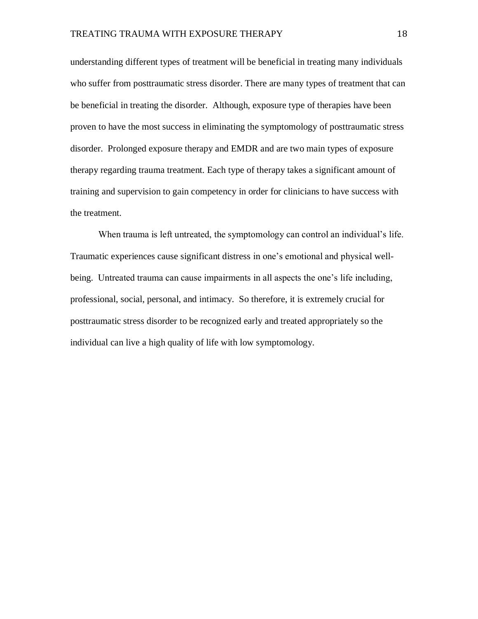understanding different types of treatment will be beneficial in treating many individuals who suffer from posttraumatic stress disorder. There are many types of treatment that can be beneficial in treating the disorder. Although, exposure type of therapies have been proven to have the most success in eliminating the symptomology of posttraumatic stress disorder. Prolonged exposure therapy and EMDR and are two main types of exposure therapy regarding trauma treatment. Each type of therapy takes a significant amount of training and supervision to gain competency in order for clinicians to have success with the treatment.

When trauma is left untreated, the symptomology can control an individual's life. Traumatic experiences cause significant distress in one's emotional and physical wellbeing. Untreated trauma can cause impairments in all aspects the one's life including, professional, social, personal, and intimacy. So therefore, it is extremely crucial for posttraumatic stress disorder to be recognized early and treated appropriately so the individual can live a high quality of life with low symptomology.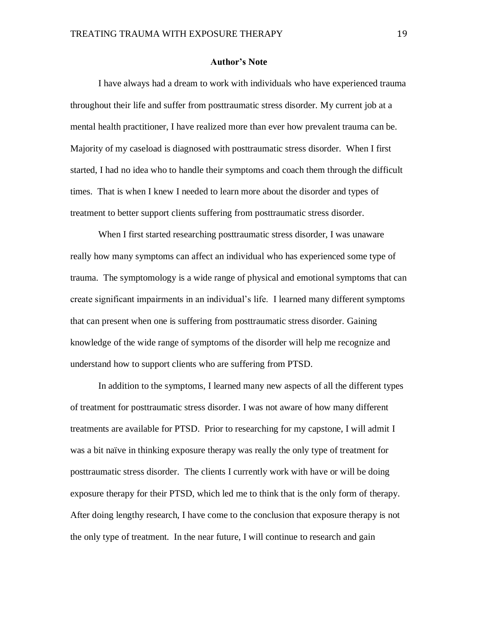# **Author's Note**

I have always had a dream to work with individuals who have experienced trauma throughout their life and suffer from posttraumatic stress disorder. My current job at a mental health practitioner, I have realized more than ever how prevalent trauma can be. Majority of my caseload is diagnosed with posttraumatic stress disorder. When I first started, I had no idea who to handle their symptoms and coach them through the difficult times. That is when I knew I needed to learn more about the disorder and types of treatment to better support clients suffering from posttraumatic stress disorder.

When I first started researching posttraumatic stress disorder, I was unaware really how many symptoms can affect an individual who has experienced some type of trauma. The symptomology is a wide range of physical and emotional symptoms that can create significant impairments in an individual's life. I learned many different symptoms that can present when one is suffering from posttraumatic stress disorder. Gaining knowledge of the wide range of symptoms of the disorder will help me recognize and understand how to support clients who are suffering from PTSD.

In addition to the symptoms, I learned many new aspects of all the different types of treatment for posttraumatic stress disorder. I was not aware of how many different treatments are available for PTSD. Prior to researching for my capstone, I will admit I was a bit naïve in thinking exposure therapy was really the only type of treatment for posttraumatic stress disorder. The clients I currently work with have or will be doing exposure therapy for their PTSD, which led me to think that is the only form of therapy. After doing lengthy research, I have come to the conclusion that exposure therapy is not the only type of treatment. In the near future, I will continue to research and gain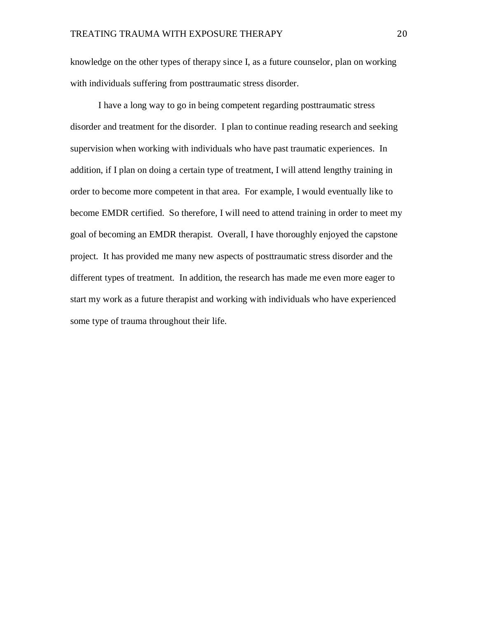knowledge on the other types of therapy since I, as a future counselor, plan on working with individuals suffering from posttraumatic stress disorder.

I have a long way to go in being competent regarding posttraumatic stress disorder and treatment for the disorder. I plan to continue reading research and seeking supervision when working with individuals who have past traumatic experiences. In addition, if I plan on doing a certain type of treatment, I will attend lengthy training in order to become more competent in that area. For example, I would eventually like to become EMDR certified. So therefore, I will need to attend training in order to meet my goal of becoming an EMDR therapist. Overall, I have thoroughly enjoyed the capstone project. It has provided me many new aspects of posttraumatic stress disorder and the different types of treatment. In addition, the research has made me even more eager to start my work as a future therapist and working with individuals who have experienced some type of trauma throughout their life.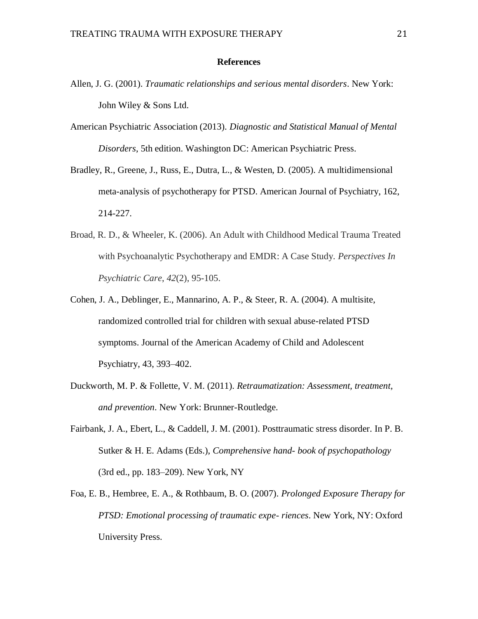# **References**

- Allen, J. G. (2001). *Traumatic relationships and serious mental disorders*. New York: John Wiley & Sons Ltd.
- American Psychiatric Association (2013). *Diagnostic and Statistical Manual of Mental Disorders*, 5th edition. Washington DC: American Psychiatric Press.
- Bradley, R., Greene, J., Russ, E., Dutra, L., & Westen, D. (2005). A multidimensional meta-analysis of psychotherapy for PTSD. American Journal of Psychiatry, 162, 214-227.
- Broad, R. D., & Wheeler, K. (2006). An Adult with Childhood Medical Trauma Treated with Psychoanalytic Psychotherapy and EMDR: A Case Study. *Perspectives In Psychiatric Care*, *42*(2), 95-105.
- Cohen, J. A., Deblinger, E., Mannarino, A. P., & Steer, R. A. (2004). A multisite, randomized controlled trial for children with sexual abuse-related PTSD symptoms. Journal of the American Academy of Child and Adolescent Psychiatry, 43, 393–402.
- Duckworth, M. P. & Follette, V. M. (2011). *Retraumatization: Assessment, treatment, and prevention*. New York: Brunner-Routledge.
- Fairbank, J. A., Ebert, L., & Caddell, J. M. (2001). Posttraumatic stress disorder. In P. B. Sutker & H. E. Adams (Eds.), *Comprehensive hand- book of psychopathology*  (3rd ed., pp. 183–209). New York, NY
- Foa, E. B., Hembree, E. A., & Rothbaum, B. O. (2007). *Prolonged Exposure Therapy for PTSD: Emotional processing of traumatic expe- riences*. New York, NY: Oxford University Press.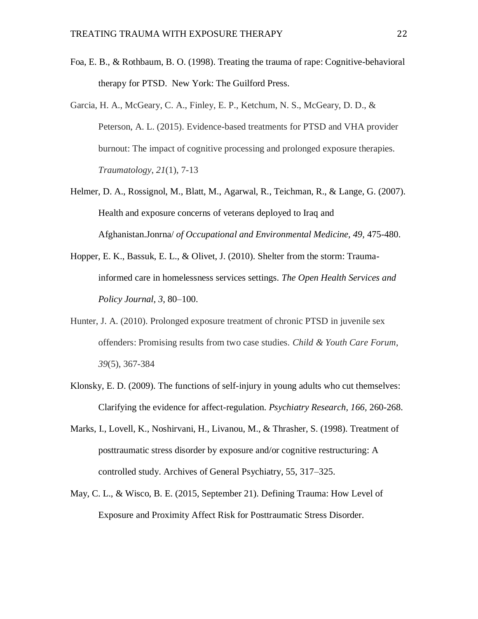- Foa, E. B., & Rothbaum, B. O. (1998). Treating the trauma of rape: Cognitive-behavioral therapy for PTSD. New York: The Guilford Press.
- Garcia, H. A., McGeary, C. A., Finley, E. P., Ketchum, N. S., McGeary, D. D., & Peterson, A. L. (2015). Evidence-based treatments for PTSD and VHA provider burnout: The impact of cognitive processing and prolonged exposure therapies. *Traumatology*, *21*(1), 7-13
- Helmer, D. A., Rossignol, M., Blatt, M., Agarwal, R., Teichman, R., & Lange, G. (2007). Health and exposure concerns of veterans deployed to Iraq and Afghanistan.Jonrna/ *of Occupational and Environmental Medicine, 49,* 475-480.
- Hopper, E. K., Bassuk, E. L., & Olivet, J. (2010). Shelter from the storm: Traumainformed care in homelessness services settings. *The Open Health Services and Policy Journal, 3,* 80–100.
- Hunter, J. A. (2010). Prolonged exposure treatment of chronic PTSD in juvenile sex offenders: Promising results from two case studies. *Child & Youth Care Forum*, *39*(5), 367-384
- Klonsky, E. D. (2009). The functions of self-injury in young adults who cut themselves: Clarifying the evidence for affect-regulation. *Psychiatry Research, 166,* 260-268.
- Marks, I., Lovell, K., Noshirvani, H., Livanou, M., & Thrasher, S. (1998). Treatment of posttraumatic stress disorder by exposure and/or cognitive restructuring: A controlled study. Archives of General Psychiatry, 55, 317–325.
- May, C. L., & Wisco, B. E. (2015, September 21). Defining Trauma: How Level of Exposure and Proximity Affect Risk for Posttraumatic Stress Disorder.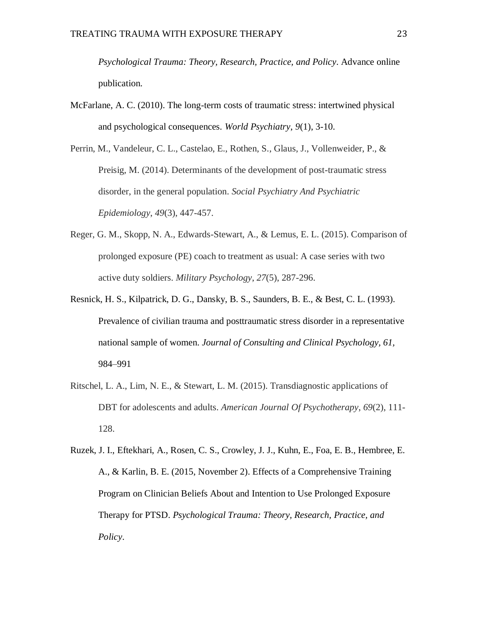*Psychological Trauma: Theory, Research, Practice, and Policy*. Advance online publication.

McFarlane, A. C. (2010). The long-term costs of traumatic stress: intertwined physical and psychological consequences. *World Psychiatry*, *9*(1), 3-10.

Perrin, M., Vandeleur, C. L., Castelao, E., Rothen, S., Glaus, J., Vollenweider, P., & Preisig, M. (2014). Determinants of the development of post-traumatic stress disorder, in the general population. *Social Psychiatry And Psychiatric Epidemiology*, *49*(3), 447-457.

- Reger, G. M., Skopp, N. A., Edwards-Stewart, A., & Lemus, E. L. (2015). Comparison of prolonged exposure (PE) coach to treatment as usual: A case series with two active duty soldiers. *Military Psychology*, *27*(5), 287-296.
- Resnick, H. S., Kilpatrick, D. G., Dansky, B. S., Saunders, B. E., & Best, C. L. (1993). Prevalence of civilian trauma and posttraumatic stress disorder in a representative national sample of women. *Journal of Consulting and Clinical Psychology, 61,*  984–991
- Ritschel, L. A., Lim, N. E., & Stewart, L. M. (2015). Transdiagnostic applications of DBT for adolescents and adults. *American Journal Of Psychotherapy*, *69*(2), 111- 128.
- Ruzek, J. I., Eftekhari, A., Rosen, C. S., Crowley, J. J., Kuhn, E., Foa, E. B., Hembree, E. A., & Karlin, B. E. (2015, November 2). Effects of a Comprehensive Training Program on Clinician Beliefs About and Intention to Use Prolonged Exposure Therapy for PTSD. *Psychological Trauma: Theory, Research, Practice, and Policy*.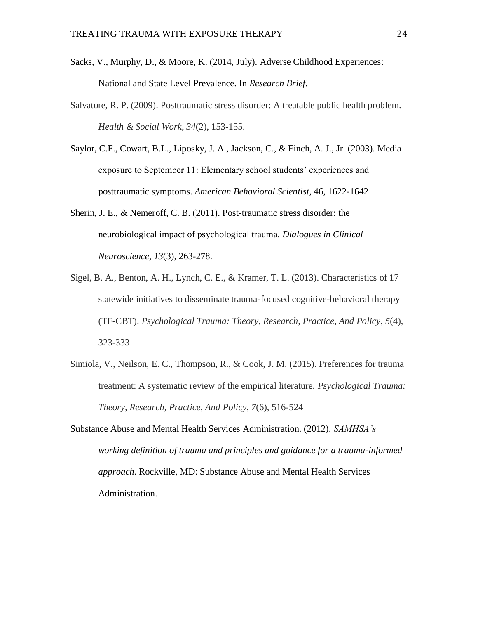- Sacks, V., Murphy, D., & Moore, K. (2014, July). Adverse Childhood Experiences: National and State Level Prevalence. In *Research Brief*.
- Salvatore, R. P. (2009). Posttraumatic stress disorder: A treatable public health problem. *Health & Social Work*, *34*(2), 153-155.
- Saylor, C.F., Cowart, B.L., Liposky, J. A., Jackson, C., & Finch, A. J., Jr. (2003). Media exposure to September 11: Elementary school students' experiences and posttraumatic symptoms. *American Behavioral Scientist*, 46, 1622-1642
- Sherin, J. E., & Nemeroff, C. B. (2011). Post-traumatic stress disorder: the neurobiological impact of psychological trauma. *Dialogues in Clinical Neuroscience*, *13*(3), 263-278.
- Sigel, B. A., Benton, A. H., Lynch, C. E., & Kramer, T. L. (2013). Characteristics of 17 statewide initiatives to disseminate trauma-focused cognitive-behavioral therapy (TF-CBT). *Psychological Trauma: Theory, Research, Practice, And Policy*, *5*(4), 323-333
- Simiola, V., Neilson, E. C., Thompson, R., & Cook, J. M. (2015). Preferences for trauma treatment: A systematic review of the empirical literature. *Psychological Trauma: Theory, Research, Practice, And Policy*, *7*(6), 516-524
- Substance Abuse and Mental Health Services Administration. (2012). *SAMHSA's working definition of trauma and principles and guidance for a trauma-informed approach*. Rockville, MD: Substance Abuse and Mental Health Services Administration.